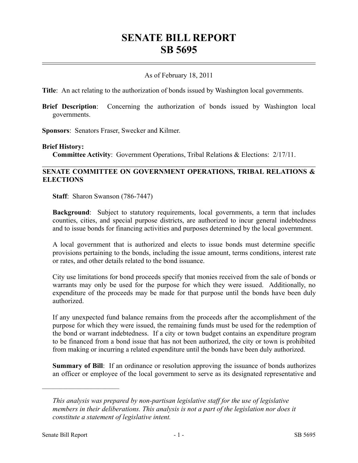# **SENATE BILL REPORT SB 5695**

## As of February 18, 2011

**Title**: An act relating to the authorization of bonds issued by Washington local governments.

**Brief Description**: Concerning the authorization of bonds issued by Washington local governments.

**Sponsors**: Senators Fraser, Swecker and Kilmer.

#### **Brief History:**

**Committee Activity**: Government Operations, Tribal Relations & Elections: 2/17/11.

### **SENATE COMMITTEE ON GOVERNMENT OPERATIONS, TRIBAL RELATIONS & ELECTIONS**

**Staff**: Sharon Swanson (786-7447)

**Background**: Subject to statutory requirements, local governments, a term that includes counties, cities, and special purpose districts, are authorized to incur general indebtedness and to issue bonds for financing activities and purposes determined by the local government.

A local government that is authorized and elects to issue bonds must determine specific provisions pertaining to the bonds, including the issue amount, terms conditions, interest rate or rates, and other details related to the bond issuance.

City use limitations for bond proceeds specify that monies received from the sale of bonds or warrants may only be used for the purpose for which they were issued. Additionally, no expenditure of the proceeds may be made for that purpose until the bonds have been duly authorized.

If any unexpected fund balance remains from the proceeds after the accomplishment of the purpose for which they were issued, the remaining funds must be used for the redemption of the bond or warrant indebtedness. If a city or town budget contains an expenditure program to be financed from a bond issue that has not been authorized, the city or town is prohibited from making or incurring a related expenditure until the bonds have been duly authorized.

**Summary of Bill**: If an ordinance or resolution approving the issuance of bonds authorizes an officer or employee of the local government to serve as its designated representative and

––––––––––––––––––––––

*This analysis was prepared by non-partisan legislative staff for the use of legislative members in their deliberations. This analysis is not a part of the legislation nor does it constitute a statement of legislative intent.*